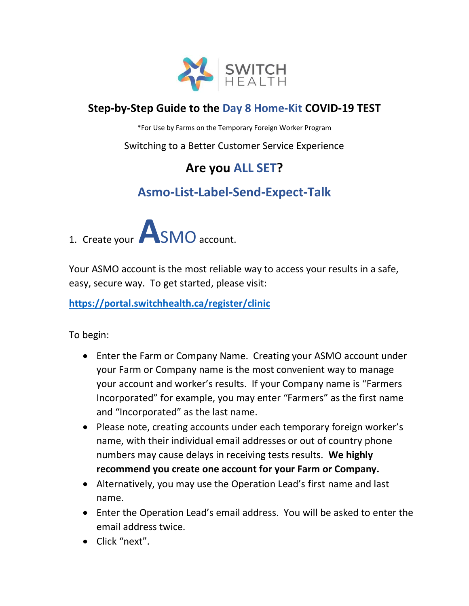

#### **Step-by-Step Guide to the Day 8 Home-Kit COVID-19 TEST**

\*For Use by Farms on the Temporary Foreign Worker Program

#### Switching to a Better Customer Service Experience

### **Are you ALL SET?**

### **Asmo-List-Label-Send-Expect-Talk**



Your ASMO account is the most reliable way to access your results in a safe, easy, secure way. To get started, please visit:

**<https://portal.switchhealth.ca/register/clinic>**

To begin:

- Enter the Farm or Company Name. Creating your ASMO account under your Farm or Company name is the most convenient way to manage your account and worker's results. If your Company name is "Farmers Incorporated" for example, you may enter "Farmers" as the first name and "Incorporated" as the last name.
- Please note, creating accounts under each temporary foreign worker's name, with their individual email addresses or out of country phone numbers may cause delays in receiving tests results. **We highly recommend you create one account for your Farm or Company.**
- Alternatively, you may use the Operation Lead's first name and last name.
- Enter the Operation Lead's email address. You will be asked to enter the email address twice.
- Click "next".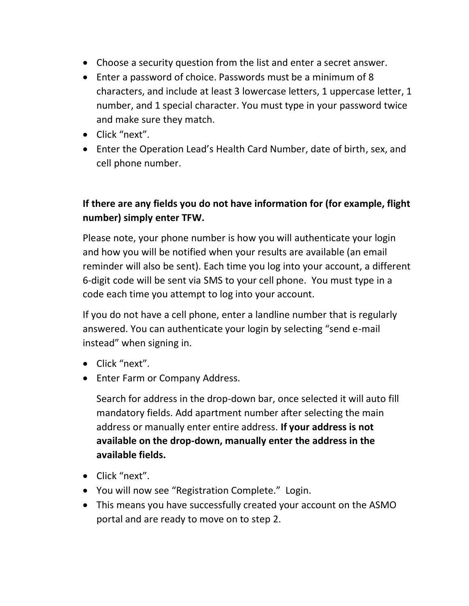- Choose a security question from the list and enter a secret answer.
- Enter a password of choice. Passwords must be a minimum of 8 characters, and include at least 3 lowercase letters, 1 uppercase letter, 1 number, and 1 special character. You must type in your password twice and make sure they match.
- Click "next".
- Enter the Operation Lead's Health Card Number, date of birth, sex, and cell phone number.

#### **If there are any fields you do not have information for (for example, flight number) simply enter TFW.**

Please note, your phone number is how you will authenticate your login and how you will be notified when your results are available (an email reminder will also be sent). Each time you log into your account, a different 6-digit code will be sent via SMS to your cell phone. You must type in a code each time you attempt to log into your account.

If you do not have a cell phone, enter a landline number that is regularly answered. You can authenticate your login by selecting "send e-mail instead" when signing in.

- Click "next".
- Enter Farm or Company Address.

Search for address in the drop-down bar, once selected it will auto fill mandatory fields. Add apartment number after selecting the main address or manually enter entire address. **If your address is not available on the drop-down, manually enter the address in the available fields.**

- Click "next".
- You will now see "Registration Complete." Login.
- This means you have successfully created your account on the ASMO portal and are ready to move on to step 2.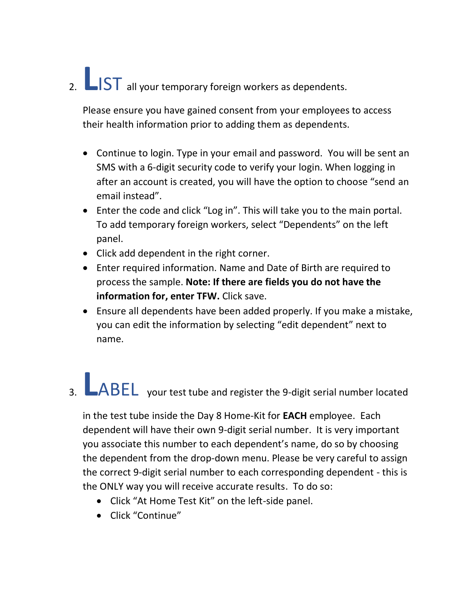# 2. **LIST** all your temporary foreign workers as dependents.

Please ensure you have gained consent from your employees to access their health information prior to adding them as dependents.

- Continue to login. Type in your email and password. You will be sent an SMS with a 6-digit security code to verify your login. When logging in after an account is created, you will have the option to choose "send an email instead".
- Enter the code and click "Log in". This will take you to the main portal. To add temporary foreign workers, select "Dependents" on the left panel.
- Click add dependent in the right corner.
- Enter required information. Name and Date of Birth are required to process the sample. **Note: If there are fields you do not have the information for, enter TFW.** Click save.
- Ensure all dependents have been added properly. If you make a mistake, you can edit the information by selecting "edit dependent" next to name.

## 3. **L**ABEL your test tube and register the 9-digit serial number located

in the test tube inside the Day 8 Home-Kit for **EACH** employee. Each dependent will have their own 9-digit serial number. It is very important you associate this number to each dependent's name, do so by choosing the dependent from the drop-down menu. Please be very careful to assign the correct 9-digit serial number to each corresponding dependent - this is the ONLY way you will receive accurate results. To do so:

- Click "At Home Test Kit" on the left-side panel.
- Click "Continue"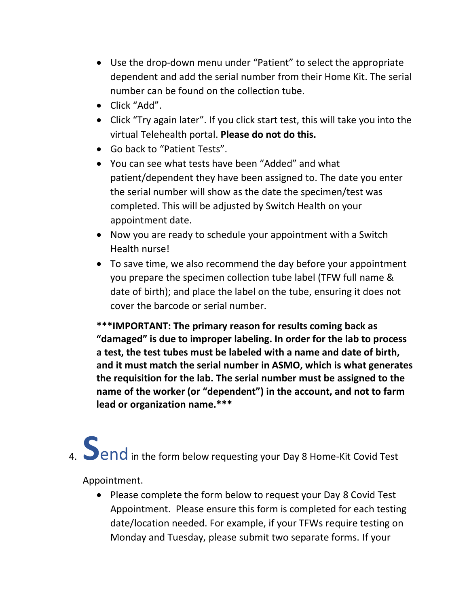- Use the drop-down menu under "Patient" to select the appropriate dependent and add the serial number from their Home Kit. The serial number can be found on the collection tube.
- Click "Add".
- Click "Try again later". If you click start test, this will take you into the virtual Telehealth portal. **Please do not do this.**
- Go back to "Patient Tests".
- You can see what tests have been "Added" and what patient/dependent they have been assigned to. The date you enter the serial number will show as the date the specimen/test was completed. This will be adjusted by Switch Health on your appointment date.
- Now you are ready to schedule your appointment with a Switch Health nurse!
- To save time, we also recommend the day before your appointment you prepare the specimen collection tube label (TFW full name & date of birth); and place the label on the tube, ensuring it does not cover the barcode or serial number.

**\*\*\*IMPORTANT: The primary reason for results coming back as "damaged" is due to improper labeling. In order for the lab to process a test, the test tubes must be labeled with a name and date of birth, and it must match the serial number in ASMO, which is what generates the requisition for the lab. The serial number must be assigned to the name of the worker (or "dependent") in the account, and not to farm lead or organization name.\*\*\***

4. **S**endin the form below requesting your Day 8 Home-Kit Covid Test

Appointment.

• Please complete the form below to request your Day 8 Covid Test Appointment. Please ensure this form is completed for each testing date/location needed. For example, if your TFWs require testing on Monday and Tuesday, please submit two separate forms. If your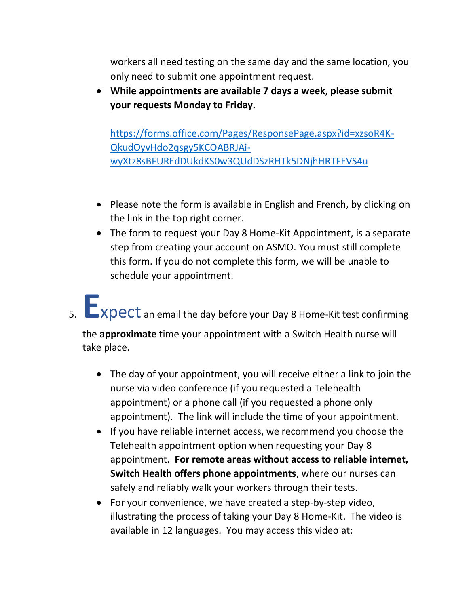workers all need testing on the same day and the same location, you only need to submit one appointment request.

• **While appointments are available 7 days a week, please submit your requests Monday to Friday.** 

[https://forms.office.com/Pages/ResponsePage.aspx?id=xzsoR4K-](https://forms.office.com/Pages/ResponsePage.aspx?id=xzsoR4K-QkudOyvHdo2qsgy5KCOABRJAi-wyXtz8sBFUREdDUkdKS0w3QUdDSzRHTk5DNjhHRTFEVS4u)[QkudOyvHdo2qsgy5KCOABRJAi](https://forms.office.com/Pages/ResponsePage.aspx?id=xzsoR4K-QkudOyvHdo2qsgy5KCOABRJAi-wyXtz8sBFUREdDUkdKS0w3QUdDSzRHTk5DNjhHRTFEVS4u)[wyXtz8sBFUREdDUkdKS0w3QUdDSzRHTk5DNjhHRTFEVS4u](https://forms.office.com/Pages/ResponsePage.aspx?id=xzsoR4K-QkudOyvHdo2qsgy5KCOABRJAi-wyXtz8sBFUREdDUkdKS0w3QUdDSzRHTk5DNjhHRTFEVS4u)

- Please note the form is available in English and French, by clicking on the link in the top right corner.
- The form to request your Day 8 Home-Kit Appointment, is a separate step from creating your account on ASMO. You must still complete this form. If you do not complete this form, we will be unable to schedule your appointment.
- 5. **E**xpect an email the day before your Day 8 Home-Kit test confirming

the **approximate** time your appointment with a Switch Health nurse will take place.

- The day of your appointment, you will receive either a link to join the nurse via video conference (if you requested a Telehealth appointment) or a phone call (if you requested a phone only appointment). The link will include the time of your appointment.
- If you have reliable internet access, we recommend you choose the Telehealth appointment option when requesting your Day 8 appointment. **For remote areas without access to reliable internet, Switch Health offers phone appointments**, where our nurses can safely and reliably walk your workers through their tests.
- For your convenience, we have created a step-by-step video, illustrating the process of taking your Day 8 Home-Kit. The video is available in 12 languages. You may access this video at: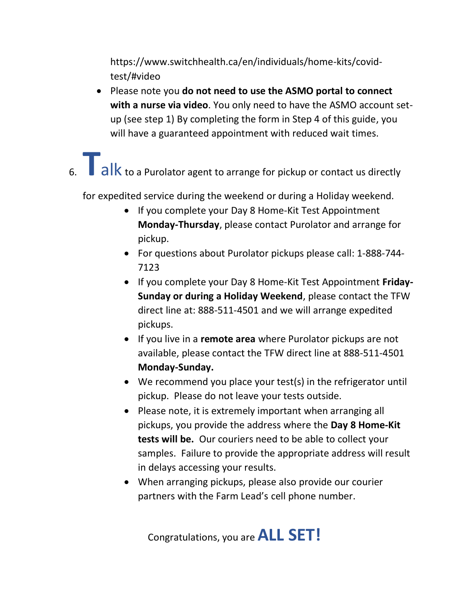https://www.switchhealth.ca/en/individuals/home-kits/covidtest/#video

- Please note you **do not need to use the ASMO portal to connect with a nurse via video**. You only need to have the ASMO account setup (see step 1) By completing the form in Step 4 of this guide, you will have a guaranteed appointment with reduced wait times.
- 6. **The alk to a Purolator agent to arrange for pickup or contact us directly**

for expedited service during the weekend or during a Holiday weekend.

- If you complete your Day 8 Home-Kit Test Appointment **Monday-Thursday**, please contact Purolator and arrange for pickup.
- For questions about Purolator pickups please call: 1-888-744- 7123
- If you complete your Day 8 Home-Kit Test Appointment **Friday-Sunday or during a Holiday Weekend**, please contact the TFW direct line at: 888-511-4501 and we will arrange expedited pickups.
- If you live in a **remote area** where Purolator pickups are not available, please contact the TFW direct line at 888-511-4501 **Monday-Sunday.**
- We recommend you place your test(s) in the refrigerator until pickup. Please do not leave your tests outside.
- Please note, it is extremely important when arranging all pickups, you provide the address where the **Day 8 Home-Kit tests will be.** Our couriers need to be able to collect your samples. Failure to provide the appropriate address will result in delays accessing your results.
- When arranging pickups, please also provide our courier partners with the Farm Lead's cell phone number.

Congratulations, you are **ALL SET!**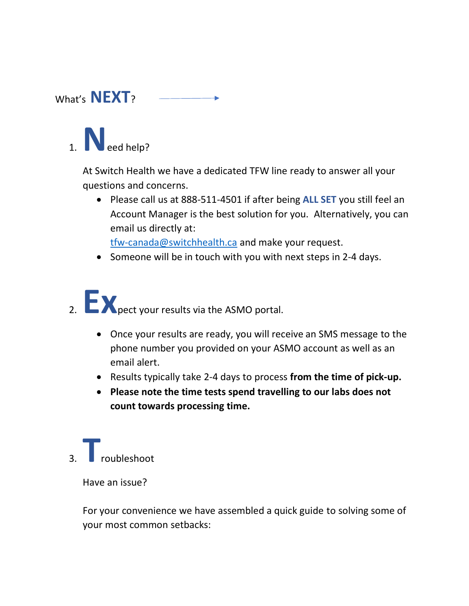### What's **NEXT**?

## 1.  $\bigvee$  eed help?

At Switch Health we have a dedicated TFW line ready to answer all your questions and concerns.

• Please call us at 888-511-4501 if after being **ALL SET** you still feel an Account Manager is the best solution for you. Alternatively, you can email us directly at:

[tfw-canada@switchhealth.ca](mailto:tfw-canada@switchhealth.ca) and make your request.

• Someone will be in touch with you with next steps in 2-4 days.

# 2. **EX** pect your results via the ASMO portal.

- Once your results are ready, you will receive an SMS message to the phone number you provided on your ASMO account as well as an email alert.
- Results typically take 2-4 days to process **from the time of pick-up.**
- **Please note the time tests spend travelling to our labs does not count towards processing time.**

## 3. **T**roubleshoot

Have an issue?

For your convenience we have assembled a quick guide to solving some of your most common setbacks: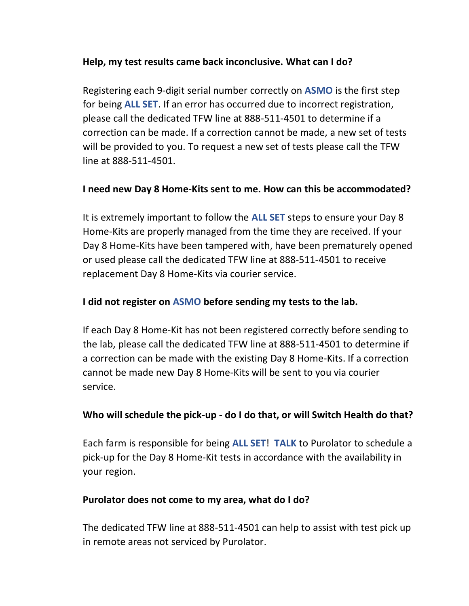#### **Help, my test results came back inconclusive. What can I do?**

Registering each 9-digit serial number correctly on **ASMO** is the first step for being **ALL SET**. If an error has occurred due to incorrect registration, please call the dedicated TFW line at 888-511-4501 to determine if a correction can be made. If a correction cannot be made, a new set of tests will be provided to you. To request a new set of tests please call the TFW line at 888-511-4501.

#### **I need new Day 8 Home-Kits sent to me. How can this be accommodated?**

It is extremely important to follow the **ALL SET** steps to ensure your Day 8 Home-Kits are properly managed from the time they are received. If your Day 8 Home-Kits have been tampered with, have been prematurely opened or used please call the dedicated TFW line at 888-511-4501 to receive replacement Day 8 Home-Kits via courier service.

#### **I did not register on ASMO before sending my tests to the lab.**

If each Day 8 Home-Kit has not been registered correctly before sending to the lab, please call the dedicated TFW line at 888-511-4501 to determine if a correction can be made with the existing Day 8 Home-Kits. If a correction cannot be made new Day 8 Home-Kits will be sent to you via courier service.

#### **Who will schedule the pick-up - do I do that, or will Switch Health do that?**

Each farm is responsible for being **ALL SET**! **TALK** to Purolator to schedule a pick-up for the Day 8 Home-Kit tests in accordance with the availability in your region.

#### **Purolator does not come to my area, what do I do?**

The dedicated TFW line at 888-511-4501 can help to assist with test pick up in remote areas not serviced by Purolator.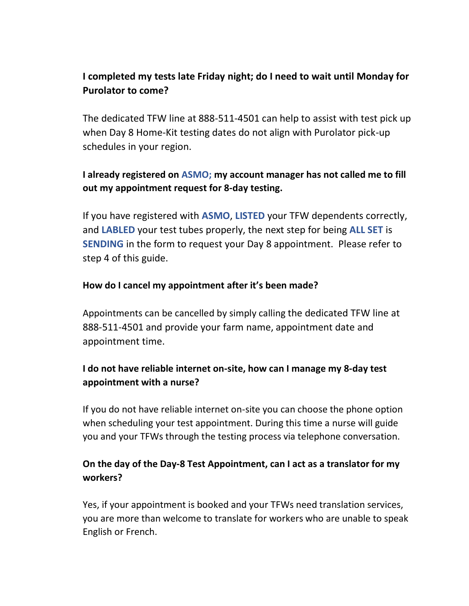#### **I completed my tests late Friday night; do I need to wait until Monday for Purolator to come?**

The dedicated TFW line at 888-511-4501 can help to assist with test pick up when Day 8 Home-Kit testing dates do not align with Purolator pick-up schedules in your region.

#### **I already registered on ASMO; my account manager has not called me to fill out my appointment request for 8-day testing.**

If you have registered with **ASMO**, **LISTED** your TFW dependents correctly, and **LABLED** your test tubes properly, the next step for being **ALL SET** is **SENDING** in the form to request your Day 8 appointment. Please refer to step 4 of this guide.

#### **How do I cancel my appointment after it's been made?**

Appointments can be cancelled by simply calling the dedicated TFW line at 888-511-4501 and provide your farm name, appointment date and appointment time.

#### **I do not have reliable internet on-site, how can I manage my 8-day test appointment with a nurse?**

If you do not have reliable internet on-site you can choose the phone option when scheduling your test appointment. During this time a nurse will guide you and your TFWs through the testing process via telephone conversation.

#### **On the day of the Day-8 Test Appointment, can I act as a translator for my workers?**

Yes, if your appointment is booked and your TFWs need translation services, you are more than welcome to translate for workers who are unable to speak English or French.